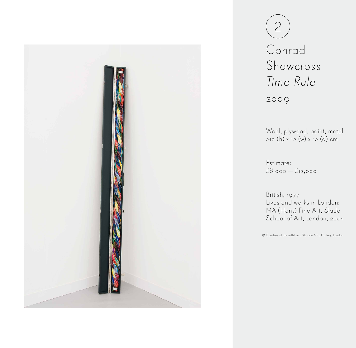

Conrad Shawcross Time Rule 2009 2

Wool, plywood, paint, metal 212 (h) x 12 (w) x 12 (d) cm

Estimate: £8,000 — £12,000

British, 1977 Lives and works in London; MA (Hons) Fine Art, Slade School of Art, London, 2001

Courtesy of the artist and Victoria Miro Gallery, London